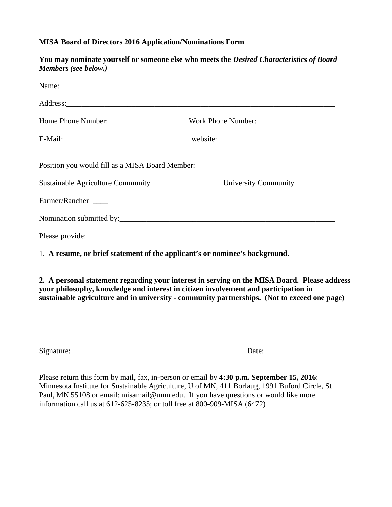## **MISA Board of Directors 2016 Application/Nominations Form**

| You may nominate yourself or someone else who meets the Desired Characteristics of Board                                                                                                                                                                                            |
|-------------------------------------------------------------------------------------------------------------------------------------------------------------------------------------------------------------------------------------------------------------------------------------|
|                                                                                                                                                                                                                                                                                     |
|                                                                                                                                                                                                                                                                                     |
|                                                                                                                                                                                                                                                                                     |
|                                                                                                                                                                                                                                                                                     |
| Position you would fill as a MISA Board Member:                                                                                                                                                                                                                                     |
| University Community _____                                                                                                                                                                                                                                                          |
|                                                                                                                                                                                                                                                                                     |
|                                                                                                                                                                                                                                                                                     |
|                                                                                                                                                                                                                                                                                     |
| 1. A resume, or brief statement of the applicant's or nominee's background.                                                                                                                                                                                                         |
| 2. A personal statement regarding your interest in serving on the MISA Board. Please address<br>your philosophy, knowledge and interest in citizen involvement and participation in<br>sustainable agriculture and in university - community partnerships. (Not to exceed one page) |
|                                                                                                                                                                                                                                                                                     |

Signature:\_\_\_\_\_\_\_\_\_\_\_\_\_\_\_\_\_\_\_\_\_\_\_\_\_\_\_\_\_\_\_\_\_\_\_\_\_\_\_\_\_\_\_\_\_\_Date:\_\_\_\_\_\_\_\_\_\_\_\_\_\_\_\_\_\_

Please return this form by mail, fax, in-person or email by **4:30 p.m. September 15, 2016**: Minnesota Institute for Sustainable Agriculture, U of MN, 411 Borlaug, 1991 Buford Circle, St. Paul, MN 55108 or email: misamail@umn.edu. If you have questions or would like more information call us at 612-625-8235; or toll free at 800-909-MISA (6472)